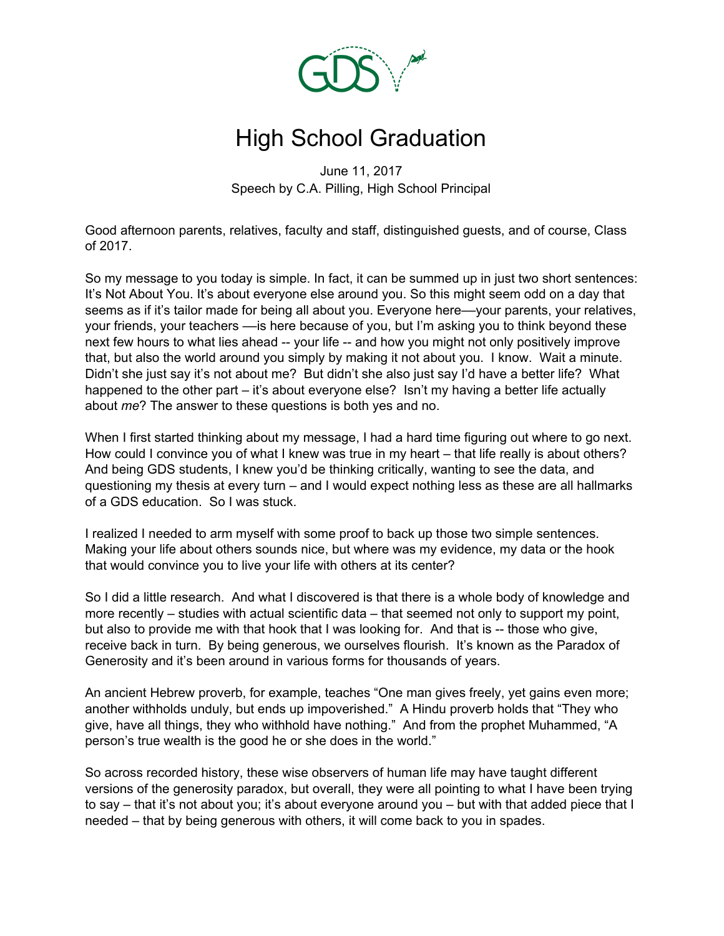

## High School Graduation

June 11, 2017 Speech by C.A. Pilling, High School Principal

Good afternoon parents, relatives, faculty and staff, distinguished guests, and of course, Class of 2017.

So my message to you today is simple. In fact, it can be summed up in just two short sentences: It's Not About You. It's about everyone else around you. So this might seem odd on a day that seems as if it's tailor made for being all about you. Everyone here—your parents, your relatives, your friends, your teachers ––is here because of you, but I'm asking you to think beyond these next few hours to what lies ahead -- your life -- and how you might not only positively improve that, but also the world around you simply by making it not about you. I know. Wait a minute. Didn't she just say it's not about me? But didn't she also just say I'd have a better life? What happened to the other part – it's about everyone else? Isn't my having a better life actually about *me*? The answer to these questions is both yes and no.

When I first started thinking about my message, I had a hard time figuring out where to go next. How could I convince you of what I knew was true in my heart – that life really is about others? And being GDS students, I knew you'd be thinking critically, wanting to see the data, and questioning my thesis at every turn – and I would expect nothing less as these are all hallmarks of a GDS education. So I was stuck.

I realized I needed to arm myself with some proof to back up those two simple sentences. Making your life about others sounds nice, but where was my evidence, my data or the hook that would convince you to live your life with others at its center?

So I did a little research. And what I discovered is that there is a whole body of knowledge and more recently – studies with actual scientific data – that seemed not only to support my point, but also to provide me with that hook that I was looking for. And that is -- those who give, receive back in turn. By being generous, we ourselves flourish. It's known as the Paradox of Generosity and it's been around in various forms for thousands of years.

An ancient Hebrew proverb, for example, teaches "One man gives freely, yet gains even more; another withholds unduly, but ends up impoverished." A Hindu proverb holds that "They who give, have all things, they who withhold have nothing." And from the prophet Muhammed, "A person's true wealth is the good he or she does in the world."

So across recorded history, these wise observers of human life may have taught different versions of the generosity paradox, but overall, they were all pointing to what I have been trying to say – that it's not about you; it's about everyone around you – but with that added piece that I needed – that by being generous with others, it will come back to you in spades.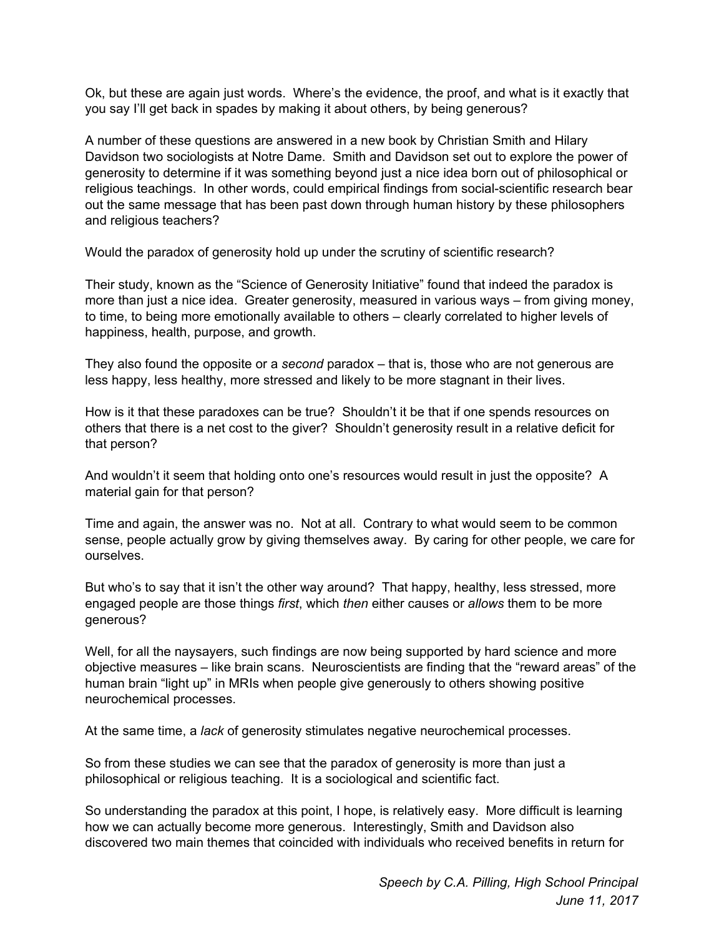Ok, but these are again just words. Where's the evidence, the proof, and what is it exactly that you say I'll get back in spades by making it about others, by being generous?

A number of these questions are answered in a new book by Christian Smith and Hilary Davidson two sociologists at Notre Dame. Smith and Davidson set out to explore the power of generosity to determine if it was something beyond just a nice idea born out of philosophical or religious teachings. In other words, could empirical findings from social-scientific research bear out the same message that has been past down through human history by these philosophers and religious teachers?

Would the paradox of generosity hold up under the scrutiny of scientific research?

Their study, known as the "Science of Generosity Initiative" found that indeed the paradox is more than just a nice idea. Greater generosity, measured in various ways – from giving money, to time, to being more emotionally available to others – clearly correlated to higher levels of happiness, health, purpose, and growth.

They also found the opposite or a *second* paradox – that is, those who are not generous are less happy, less healthy, more stressed and likely to be more stagnant in their lives.

How is it that these paradoxes can be true? Shouldn't it be that if one spends resources on others that there is a net cost to the giver? Shouldn't generosity result in a relative deficit for that person?

And wouldn't it seem that holding onto one's resources would result in just the opposite? A material gain for that person?

Time and again, the answer was no. Not at all. Contrary to what would seem to be common sense, people actually grow by giving themselves away. By caring for other people, we care for ourselves.

But who's to say that it isn't the other way around? That happy, healthy, less stressed, more engaged people are those things *first*, which *then* either causes or *allows* them to be more generous?

Well, for all the naysayers, such findings are now being supported by hard science and more objective measures – like brain scans. Neuroscientists are finding that the "reward areas" of the human brain "light up" in MRIs when people give generously to others showing positive neurochemical processes.

At the same time, a *lack* of generosity stimulates negative neurochemical processes.

So from these studies we can see that the paradox of generosity is more than just a philosophical or religious teaching. It is a sociological and scientific fact.

So understanding the paradox at this point, I hope, is relatively easy. More difficult is learning how we can actually become more generous. Interestingly, Smith and Davidson also discovered two main themes that coincided with individuals who received benefits in return for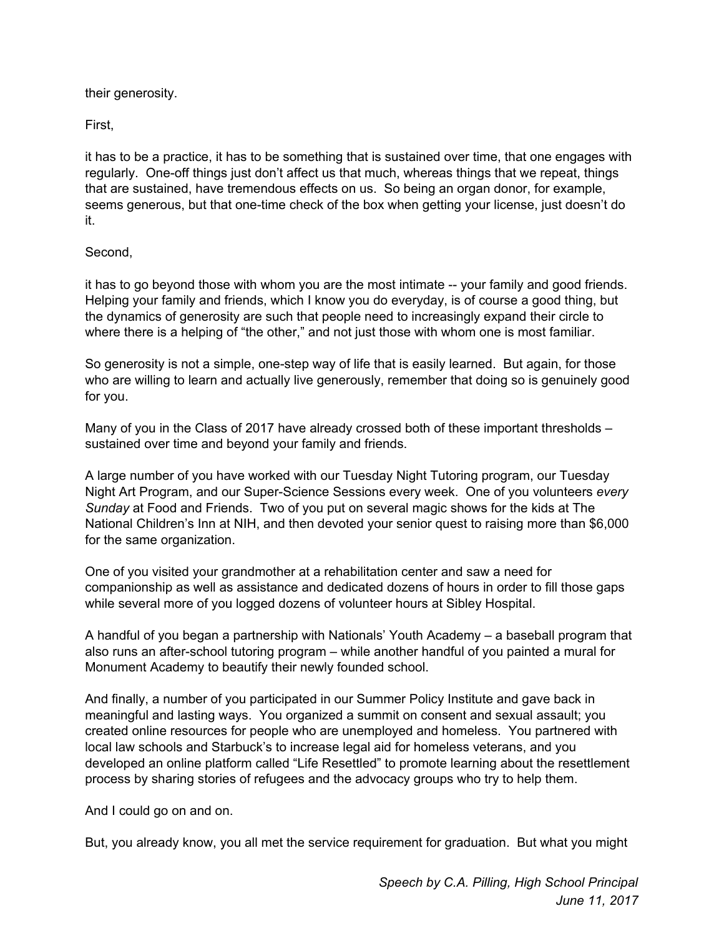their generosity.

First,

it has to be a practice, it has to be something that is sustained over time, that one engages with regularly. One-off things just don't affect us that much, whereas things that we repeat, things that are sustained, have tremendous effects on us. So being an organ donor, for example, seems generous, but that one-time check of the box when getting your license, just doesn't do it.

## Second,

it has to go beyond those with whom you are the most intimate -- your family and good friends. Helping your family and friends, which I know you do everyday, is of course a good thing, but the dynamics of generosity are such that people need to increasingly expand their circle to where there is a helping of "the other," and not just those with whom one is most familiar.

So generosity is not a simple, one-step way of life that is easily learned. But again, for those who are willing to learn and actually live generously, remember that doing so is genuinely good for you.

Many of you in the Class of 2017 have already crossed both of these important thresholds – sustained over time and beyond your family and friends.

A large number of you have worked with our Tuesday Night Tutoring program, our Tuesday Night Art Program, and our Super-Science Sessions every week. One of you volunteers *every Sunday* at Food and Friends. Two of you put on several magic shows for the kids at The National Children's Inn at NIH, and then devoted your senior quest to raising more than \$6,000 for the same organization.

One of you visited your grandmother at a rehabilitation center and saw a need for companionship as well as assistance and dedicated dozens of hours in order to fill those gaps while several more of you logged dozens of volunteer hours at Sibley Hospital.

A handful of you began a partnership with Nationals' Youth Academy – a baseball program that also runs an after-school tutoring program – while another handful of you painted a mural for Monument Academy to beautify their newly founded school.

And finally, a number of you participated in our Summer Policy Institute and gave back in meaningful and lasting ways. You organized a summit on consent and sexual assault; you created online resources for people who are unemployed and homeless. You partnered with local law schools and Starbuck's to increase legal aid for homeless veterans, and you developed an online platform called "Life Resettled" to promote learning about the resettlement process by sharing stories of refugees and the advocacy groups who try to help them.

And I could go on and on.

But, you already know, you all met the service requirement for graduation. But what you might